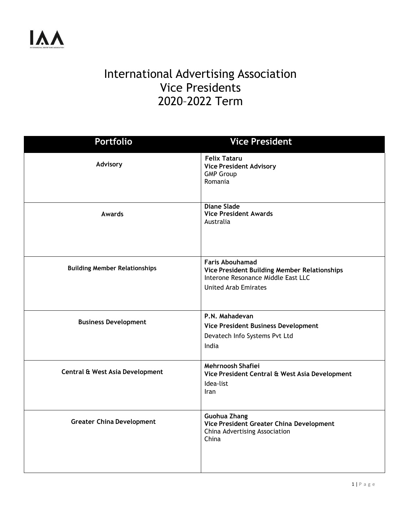## International Advertising Association Vice Presidents 2020–2022 Term

| <b>Portfolio</b>                     | <b>Vice President</b>                                                                                                                       |
|--------------------------------------|---------------------------------------------------------------------------------------------------------------------------------------------|
| Advisory                             | <b>Felix Tataru</b><br><b>Vice President Advisory</b><br><b>GMP Group</b><br>Romania                                                        |
| <b>Awards</b>                        | <b>Diane Slade</b><br><b>Vice President Awards</b><br>Australia                                                                             |
| <b>Building Member Relationships</b> | <b>Faris Abouhamad</b><br>Vice President Building Member Relationships<br>Interone Resonance Middle East LLC<br><b>United Arab Emirates</b> |
| <b>Business Development</b>          | P.N. Mahadevan<br>Vice President Business Development<br>Devatech Info Systems Pvt Ltd<br>India                                             |
| Central & West Asia Development      | Mehrnoosh Shafiei<br>Vice President Central & West Asia Development<br>Idea-list<br>Iran                                                    |
| <b>Greater China Development</b>     | Guohua Zhang<br>Vice President Greater China Development<br>China Advertising Association<br>China                                          |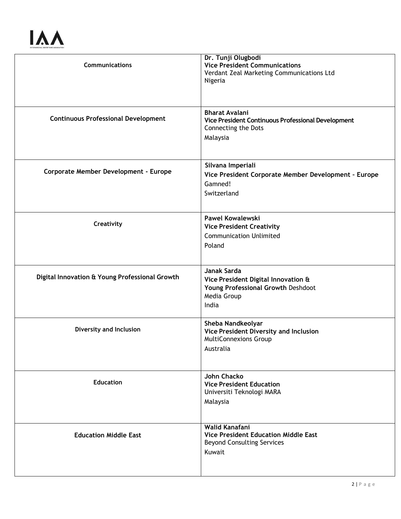## **IAA**

| <b>Communications</b>                          | Dr. Tunji Olugbodi<br><b>Vice President Communications</b><br>Verdant Zeal Marketing Communications Ltd<br>Nigeria      |
|------------------------------------------------|-------------------------------------------------------------------------------------------------------------------------|
| <b>Continuous Professional Development</b>     | <b>Bharat Avalani</b><br>Vice President Continuous Professional Development<br>Connecting the Dots<br>Malaysia          |
| <b>Corporate Member Development - Europe</b>   | Silvana Imperiali<br>Vice President Corporate Member Development - Europe<br>Gamned!<br>Switzerland                     |
| Creativity                                     | <b>Pawel Kowalewski</b><br><b>Vice President Creativity</b><br><b>Communication Unlimited</b><br>Poland                 |
| Digital Innovation & Young Professional Growth | <b>Janak Sarda</b><br>Vice President Digital Innovation &<br>Young Professional Growth Deshdoot<br>Media Group<br>India |
| <b>Diversity and Inclusion</b>                 | Sheba Nandkeolyar<br>Vice President Diversity and Inclusion<br><b>MultiConnexions Group</b><br>Australia                |
| <b>Education</b>                               | John Chacko<br><b>Vice President Education</b><br>Universiti Teknologi MARA<br>Malaysia                                 |
| <b>Education Middle East</b>                   | Walid Kanafani<br><b>Vice President Education Middle East</b><br><b>Beyond Consulting Services</b><br>Kuwait            |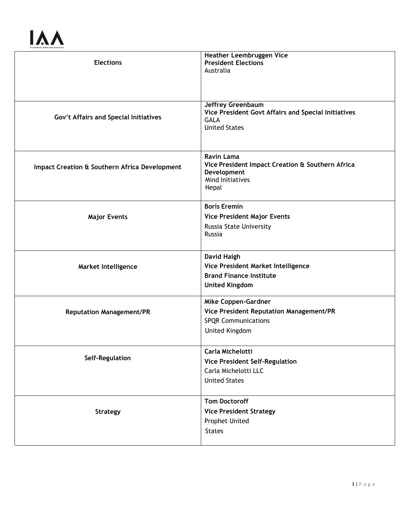## **IAA**

| <b>Elections</b>                              | Heather Leembruggen Vice<br><b>President Elections</b><br>Australia                                                      |
|-----------------------------------------------|--------------------------------------------------------------------------------------------------------------------------|
| Gov't Affairs and Special Initiatives         | <b>Jeffrey Greenbaum</b><br>Vice President Govt Affairs and Special Initiatives<br><b>GALA</b><br><b>United States</b>   |
| Impact Creation & Southern Africa Development | <b>Ravin Lama</b><br>Vice President Impact Creation & Southern Africa<br>Development<br><b>Mind Initiatives</b><br>Nepal |
| <b>Major Events</b>                           | <b>Boris Eremin</b><br><b>Vice President Major Events</b><br>Russia State University<br>Russia                           |
| <b>Market Intelligence</b>                    | David Haigh<br>Vice President Market Intelligence<br><b>Brand Finance Institute</b><br><b>United Kingdom</b>             |
| <b>Reputation Management/PR</b>               | Mike Coppen-Gardner<br>Vice President Reputation Management/PR<br><b>SPQR Communications</b><br>United Kingdom           |
| Self-Regulation                               | <b>Carla Michelotti</b><br><b>Vice President Self-Regulation</b><br>Carla Michelotti LLC<br><b>United States</b>         |
| <b>Strategy</b>                               | <b>Tom Doctoroff</b><br><b>Vice President Strategy</b><br>Prophet United<br><b>States</b>                                |